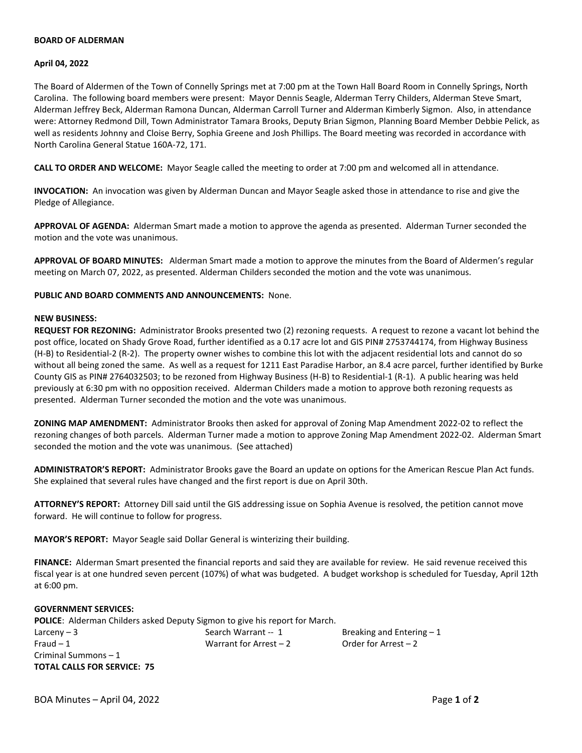# **BOARD OF ALDERMAN**

## **April 04, 2022**

The Board of Aldermen of the Town of Connelly Springs met at 7:00 pm at the Town Hall Board Room in Connelly Springs, North Carolina. The following board members were present: Mayor Dennis Seagle, Alderman Terry Childers, Alderman Steve Smart, Alderman Jeffrey Beck, Alderman Ramona Duncan, Alderman Carroll Turner and Alderman Kimberly Sigmon. Also, in attendance were: Attorney Redmond Dill, Town Administrator Tamara Brooks, Deputy Brian Sigmon, Planning Board Member Debbie Pelick, as well as residents Johnny and Cloise Berry, Sophia Greene and Josh Phillips. The Board meeting was recorded in accordance with North Carolina General Statue 160A-72, 171.

**CALL TO ORDER AND WELCOME:** Mayor Seagle called the meeting to order at 7:00 pm and welcomed all in attendance.

**INVOCATION:** An invocation was given by Alderman Duncan and Mayor Seagle asked those in attendance to rise and give the Pledge of Allegiance.

**APPROVAL OF AGENDA:** Alderman Smart made a motion to approve the agenda as presented. Alderman Turner seconded the motion and the vote was unanimous.

**APPROVAL OF BOARD MINUTES:** Alderman Smart made a motion to approve the minutes from the Board of Aldermen's regular meeting on March 07, 2022, as presented. Alderman Childers seconded the motion and the vote was unanimous.

**PUBLIC AND BOARD COMMENTS AND ANNOUNCEMENTS:** None.

## **NEW BUSINESS:**

**REQUEST FOR REZONING:** Administrator Brooks presented two (2) rezoning requests. A request to rezone a vacant lot behind the post office, located on Shady Grove Road, further identified as a 0.17 acre lot and GIS PIN# 2753744174, from Highway Business (H-B) to Residential-2 (R-2). The property owner wishes to combine this lot with the adjacent residential lots and cannot do so without all being zoned the same. As well as a request for 1211 East Paradise Harbor, an 8.4 acre parcel, further identified by Burke County GIS as PIN# 2764032503; to be rezoned from Highway Business (H-B) to Residential-1 (R-1). A public hearing was held previously at 6:30 pm with no opposition received. Alderman Childers made a motion to approve both rezoning requests as presented. Alderman Turner seconded the motion and the vote was unanimous.

**ZONING MAP AMENDMENT:** Administrator Brooks then asked for approval of Zoning Map Amendment 2022-02 to reflect the rezoning changes of both parcels. Alderman Turner made a motion to approve Zoning Map Amendment 2022-02. Alderman Smart seconded the motion and the vote was unanimous. (See attached)

**ADMINISTRATOR'S REPORT:** Administrator Brooks gave the Board an update on options for the American Rescue Plan Act funds. She explained that several rules have changed and the first report is due on April 30th.

**ATTORNEY'S REPORT:** Attorney Dill said until the GIS addressing issue on Sophia Avenue is resolved, the petition cannot move forward. He will continue to follow for progress.

**MAYOR'S REPORT:** Mayor Seagle said Dollar General is winterizing their building.

**FINANCE:** Alderman Smart presented the financial reports and said they are available for review. He said revenue received this fiscal year is at one hundred seven percent (107%) of what was budgeted. A budget workshop is scheduled for Tuesday, April 12th at 6:00 pm.

#### **GOVERNMENT SERVICES:**

**POLICE**: Alderman Childers asked Deputy Sigmon to give his report for March.

 $Larceny - 3$  Search Warrant -- 1 Breaking and Entering -1 Fraud – 1 Warrant for Arrest – 2 Order for Arrest – 2 Criminal Summons – 1 **TOTAL CALLS FOR SERVICE: 75**